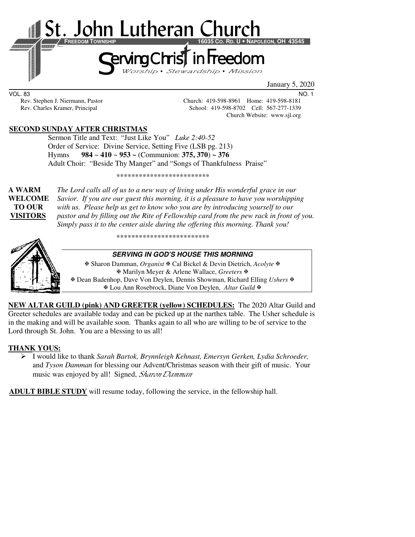

January 5, 2020

VOL. 83 NO. 1

Rev. Stephen J. Niermann, Pastor Church: 419-598-8961 Home: 419-598-8181 Rev. Charles Kramer, Principal School: 419-598-8702 Cell: 567-277-1339 Church Website: www.sjl.org

## **SECOND SUNDAY AFTER CHRISTMAS**

 Sermon Title and Text: "Just Like You" *Luke 2:40-52*  Order of Service: Divine Service, Setting Five (LSB pg. 213) Hymns **984** ~ **410** ~ **953 ~** (Communion: **375, 370**) **~ 376**  Adult Choir: "Beside Thy Manger" and "Songs of Thankfulness Praise"

\*\*\*\*\*\*\*\*\*\*\*\*\*\*\*\*\*\*\*\*\*\*\*\*\*

**A WARM** *The Lord calls all of us to a new way of living under His wonderful grace in our*  **WELCOME** *Savior. If you are our guest this morning, it is a pleasure to have you worshipping* **TO OUR** *with us. Please help us get to know who you are by introducing yourself to our*  **VISITORS** *pastor and by filling out the Rite of Fellowship card from the pew rack in front of you. Simply pass it to the center aisle during the offering this morning. Thank you!* 

\*\*\*\*\*\*\*\*\*\*\*\*\*\*\*\*\*\*\*\*\*\*\*\*\*



## **SERVING IN GOD'S HOUSE THIS MORNING**

 Sharon Damman, *Organist* Cal Bickel & Devin Dietrich, *Acolyte* Marilyn Meyer & Arlene Wallace, *Greeters* Dean Badenhop, Dave Von Deylen, Dennis Showman, Richard Elling *Ushers* Lou Ann Rosebrock, Diane Von Deylen, *Altar Guild*

**NEW ALTAR GUILD (pink) AND GREETER (yellow) SCHEDULES:** The 2020 Altar Guild and Greeter schedules are available today and can be picked up at the narthex table. The Usher schedule is in the making and will be available soon. Thanks again to all who are willing to be of service to the Lord through St. John. You are a blessing to us all!

## **THANK YOUS:**

 I would like to thank *Sarah Bartok, Brynnleigh Kehnast, Emersyn Gerken, Lydia Schroeder,*  and *Tyson Damman* for blessing our Advent/Christmas season with their gift of music. Your music was enjoyed by all! Signed, *Sharon Damman* 

**ADULT BIBLE STUDY** will resume today, following the service, in the fellowship hall.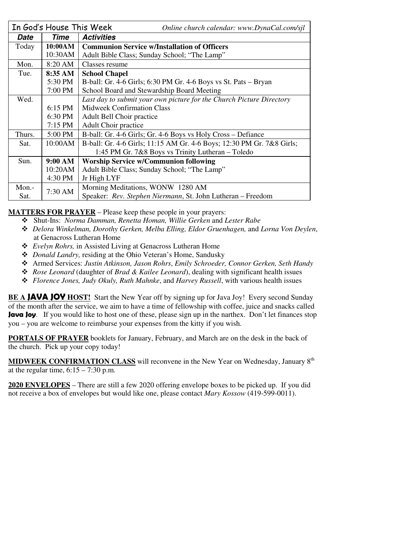|             | In God's House This Week                                | Online church calendar: www.DynaCal.com/sjl                           |  |  |
|-------------|---------------------------------------------------------|-----------------------------------------------------------------------|--|--|
| <b>Date</b> | Time                                                    | <b>Activities</b>                                                     |  |  |
| Today       | 10:00AM                                                 | <b>Communion Service w/Installation of Officers</b>                   |  |  |
|             | 10:30AM                                                 | Adult Bible Class; Sunday School; "The Lamp"                          |  |  |
| Mon.        | 8:20 AM                                                 | Classes resume                                                        |  |  |
| Tue.        | 8:35 AM                                                 | <b>School Chapel</b>                                                  |  |  |
|             | 5:30 PM                                                 | B-ball: Gr. 4-6 Girls; 6:30 PM Gr. 4-6 Boys vs St. Pats – Bryan       |  |  |
|             | 7:00 PM                                                 | School Board and Stewardship Board Meeting                            |  |  |
| Wed.        |                                                         | Last day to submit your own picture for the Church Picture Directory  |  |  |
|             | 6:15 PM                                                 | <b>Midweek Confirmation Class</b>                                     |  |  |
|             | 6:30 PM                                                 | Adult Bell Choir practice                                             |  |  |
|             | $7:15$ PM                                               | Adult Choir practice                                                  |  |  |
| Thurs.      | 5:00 PM                                                 | B-ball: Gr. 4-6 Girls; Gr. 4-6 Boys vs Holy Cross – Defiance          |  |  |
| Sat.        | 10:00AM                                                 | B-ball: Gr. 4-6 Girls; 11:15 AM Gr. 4-6 Boys; 12:30 PM Gr. 7&8 Girls; |  |  |
|             |                                                         | 1:45 PM Gr. 7&8 Boys vs Trinity Lutheran – Toledo                     |  |  |
| Sun.        | 9:00 AM<br><b>Worship Service w/Communion following</b> |                                                                       |  |  |
|             | 10:20AM                                                 | Adult Bible Class; Sunday School; "The Lamp"                          |  |  |
|             | 4:30 PM                                                 | Jr High LYF                                                           |  |  |
| Mon.-       |                                                         | Morning Meditations, WONW 1280 AM                                     |  |  |
| Sat.        | 7:30 AM                                                 | Speaker: Rev. Stephen Niermann, St. John Lutheran – Freedom           |  |  |

**MATTERS FOR PRAYER** – Please keep these people in your prayers:

- Shut-Ins: *Norma Damman, Renetta Homan, Willie Gerken* and *Lester Rabe*
- *Delora Winkelman, Dorothy Gerken, Melba Elling, Eldor Gruenhagen,* and *Lorna Von Deylen*, at Genacross Lutheran Home
- *Evelyn Rohrs,* in Assisted Living at Genacross Lutheran Home
- *Donald Landry,* residing at the Ohio Veteran's Home, Sandusky
- Armed Services: *Justin Atkinson, Jason Rohrs*, *Emily Schroeder, Connor Gerken, Seth Handy*
- *Rose Leonard* (daughter of *Brad & Kailee Leonard*), dealing with significant health issues
- *Florence Jones, Judy Okuly, Ruth Mahnke*, and *Harvey Russell*, with various health issues

**BE A <b>JAVA JOY** HOST! Start the New Year off by signing up for Java Joy! Every second Sunday of the month after the service, we aim to have a time of fellowship with coffee, juice and snacks called **Java Joy**. If you would like to host one of these, please sign up in the narthex. Don't let finances stop you – you are welcome to reimburse your expenses from the kitty if you wish.

**PORTALS OF PRAYER** booklets for January, February, and March are on the desk in the back of the church. Pick up your copy today!

**MIDWEEK CONFIRMATION CLASS** will reconvene in the New Year on Wednesday, January 8th at the regular time,  $6:15 - 7:30$  p.m.

**2020 ENVELOPES** – There are still a few 2020 offering envelope boxes to be picked up. If you did not receive a box of envelopes but would like one, please contact *Mary Kossow* (419-599-0011).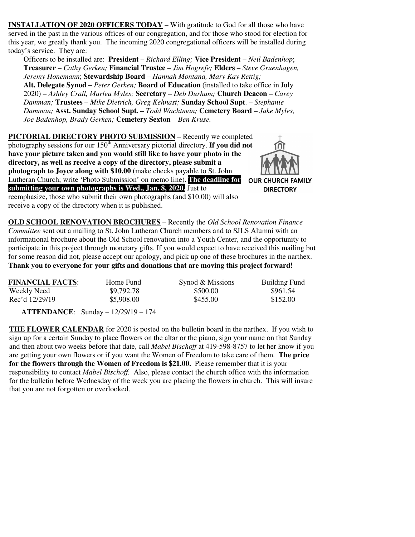**INSTALLATION OF 2020 OFFICERS TODAY** – With gratitude to God for all those who have served in the past in the various offices of our congregation, and for those who stood for election for this year, we greatly thank you. The incoming 2020 congregational officers will be installed during today's service. They are:

Officers to be installed are: **President** – *Richard Elling;* **Vice President** – *Neil Badenhop*; **Treasurer** – *Cathy Gerken;* **Financial Trustee** – *Jim Hogrefe;* **Elders** – *Steve Gruenhagen, Jeremy Honemann*; **Stewardship Board** – *Hannah Montana, Mary Kay Rettig;*  **Alt. Delegate Synod –** *Peter Gerken;* **Board of Education** (installed to take office in July 2020) – *Ashley Crall, Marlea Myles;* **Secretary** – *Deb Durham;* **Church Deacon** – *Carey Damman;* **Trustees** – *Mike Dietrich, Greg Kehnast;* **Sunday School Supt**. – *Stephanie Damman;* **Asst. Sunday School Supt.** *– Todd Wachtman;* **Cemetery Board** – *Jake Myles, Joe Badenhop, Brady Gerken;* **Cemetery Sexton** *– Ben Kruse.* 

**PICTORIAL DIRECTORY PHOTO SUBMISSION** – Recently we completed photography sessions for our 150<sup>th</sup> Anniversary pictorial directory. **If you did not have your picture taken and you would still like to have your photo in the directory, as well as receive a copy of the directory, please submit a photograph to Joyce along with \$10.00** (make checks payable to St. John Lutheran Church; write 'Photo Submission' on memo line). **The deadline for submitting your own photographs is Wed., Jan. 8, 2020.** Just to reemphasize, those who submit their own photographs (and \$10.00) will also receive a copy of the directory when it is published.



**OLD SCHOOL RENOVATION BROCHURES** – Recently the *Old School Renovation Finance Committee* sent out a mailing to St. John Lutheran Church members and to SJLS Alumni with an informational brochure about the Old School renovation into a Youth Center, and the opportunity to participate in this project through monetary gifts. If you would expect to have received this mailing but for some reason did not, please accept our apology, and pick up one of these brochures in the narthex. **Thank you to everyone for your gifts and donations that are moving this project forward!** 

| <b>FINANCIAL FACTS:</b> | Home Fund  | Synod & Missions | Building Fund |
|-------------------------|------------|------------------|---------------|
| Weekly Need             | \$9,792.78 | \$500.00         | \$961.54      |
| Rec'd 12/29/19          | \$5,908.00 | \$455.00         | \$152.00      |

 **ATTENDANCE**: Sunday – 12/29/19 – 174

**THE FLOWER CALENDAR** for 2020 is posted on the bulletin board in the narthex. If you wish to sign up for a certain Sunday to place flowers on the altar or the piano, sign your name on that Sunday and then about two weeks before that date, call *Mabel Bischoff* at 419-598-8757 to let her know if you are getting your own flowers or if you want the Women of Freedom to take care of them. **The price for the flowers through the Women of Freedom is \$21.00.** Please remember that it is your responsibility to contact *Mabel Bischoff.* Also, please contact the church office with the information for the bulletin before Wednesday of the week you are placing the flowers in church. This will insure that you are not forgotten or overlooked.